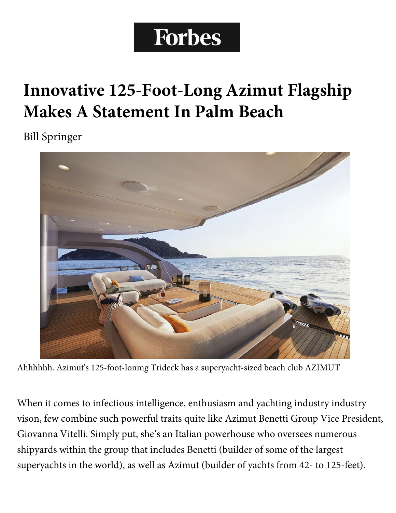## **Forbes**

## **Innovative 125-Foot-Long Azimut Flagship Makes A Statement In Palm Beach**

Bill Springer



Ahhhhhh. Azimut's 125-foot-lonmg Trideck has a superyacht-sized beach club AZIMUT

When it comes to infectious intelligence, enthusiasm and yachting industry industry vison, few combine such powerful traits quite like Azimut Benetti Group Vice President, Giovanna Vitelli. Simply put, she's an Italian powerhouse who oversees numerous shipyards within the group that includes Benetti (builder of some of the largest superyachts in the world), as well as Azimut (builder of yachts from 42- to 125-feet).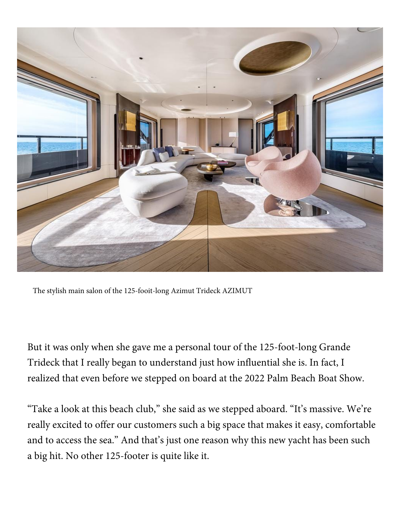

The stylish main salon of the 125-fooit-long Azimut Trideck AZIMUT

But it was only when she gave me a personal tour of the 125-foot-long Grande Trideck that I really began to understand just how influential she is. In fact, I realized that even before we stepped on board at the 2022 Palm Beach Boat Show.

"Take a look at this beach club," she said as we stepped aboard. "It's massive. We're really excited to offer our customers such a big space that makes it easy, comfortable and to access the sea." And that's just one reason why this new yacht has been such a big hit. No other 125-footer is quite like it.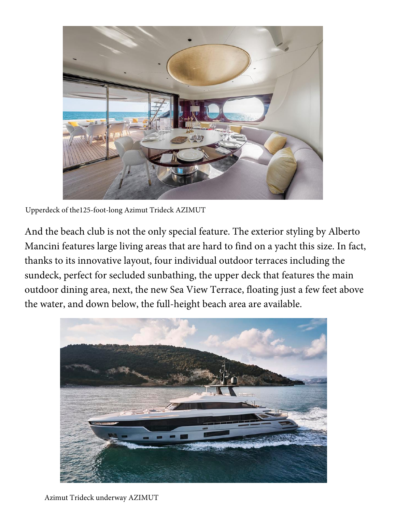

Upperdeck of the125-foot-long Azimut Trideck AZIMUT

And the beach club is not the only special feature. The exterior styling by Alberto Mancini features large living areas that are hard to find on a yacht this size. In fact, thanks to its innovative layout, four individual outdoor terraces including the sundeck, perfect for secluded sunbathing, the upper deck that features the main outdoor dining area, next, the new Sea View Terrace, floating just a few feet above the water, and down below, the full-height beach area are available.

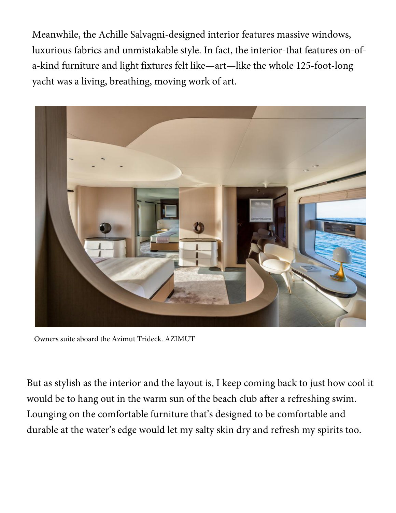Meanwhile, the Achille Salvagni-designed interior features massive windows, luxurious fabrics and unmistakable style. In fact, the interior-that features on-ofa-kind furniture and light fixtures felt like—art—like the whole 125-foot-long yacht was a living, breathing, moving work of art.



Owners suite aboard the Azimut Trideck. AZIMUT

But as stylish as the interior and the layout is, I keep coming back to just how cool it would be to hang out in the warm sun of the beach club after a refreshing swim. Lounging on the comfortable furniture that's designed to be comfortable and durable at the water's edge would let my salty skin dry and refresh my spirits too.